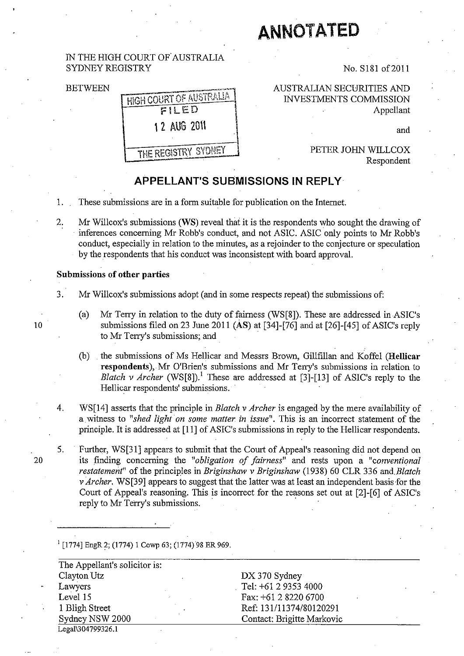# **ANNOTATED**

## IN THE HIGH COURT OF' AUSTRALIA SYDNEY REGISTRY

BETWEEN



No. S181 of2011

AUSTRALIAN SECURITIES AND INvESTMENTS COMMISSION Appellant

and

PETER JOHN WILLCOX Respondent

# **APPELLANT'S SUBMISSIONS IN REPLY**

- 1. These submissions are in a form suitable for publication on the Internet.
- 2. Mr Willcox's submissions (WS) reveal that it is the respondents who sought the drawing of . inferences concerning Mr Robb's conduct, and not ASIC. ASIC only points to Mr Robb's conduct, especially in relation to the minutes, as a rejoinder to the conjecture or speculation by the respondents that his conduct was inconsistent with board approval.

## Submissions of other parties

- 3. Mr Willcox's submissions adopt (and in some respects repeat) the submissions of:
- (a) Mr Terry in relation to the duty of fairness (WS[8]). These are addressed in ASIC's 10 submissions filed on 23 June 2011 (AS) at [34]-[76] and at [26]-[45] of ASIC's reply to Mr Terry's submissions; and
	- (b) . the submissions of Ms Hellicar and Messrs Brown, Gillfillan and Koffel (Hellicar respondents), Mr O'Brien's submissions and Mr Terry's submissions in relation to *Blatch v Archer* (WS[8]).<sup>1</sup> These are addressed at [3]-[13] of ASIC's reply to the Hellicar respondents' submissions.
	- 4. WS[14] asserts that the principle in *Blatch* v *Archer* is engaged by the mere availability of a witness to *"shed light on some matter in issue".* This is an incorrect statement of the principle. It is addressed at [11] of ASIC's submissions in reply to the Hellicar respondents.
- 5. . Further, WS[31] appears to submit that the Court of Appeal's reasoning did not depend on 20 its finding concerning the *"obligation of fairness"* and rests upon a *"conventional restatement"* of the principles in *Briginshaw* v *Briginshaw* (1938) 60 CLR 336 *and.Blatch*  v *Archer.* WS[39] appears to suggest that the latter was at least an independent basis for the Court of Appeal's reasoning. This is incorrect for the reasons set out at [2]-[6] of ASIC's reply to Mr Terry's submissions.

 $I$  [1774] EngR 2; (1774) 1 Cowp 63; (1774) 98 ER 969.

| The Appellant's solicitor is: |                            |
|-------------------------------|----------------------------|
| Clayton Utz                   | DX 370 Sydney              |
| Lawyers                       | Tel: +61 2 9353 4000       |
| Level 15<br>٠                 | Fax: +61 2 8220 6700       |
| 1 Bligh Street                | Ref: 131/11374/80120291    |
| Sydney NSW 2000               | Contact: Brigitte Markovic |
| Legal\304799326.1             |                            |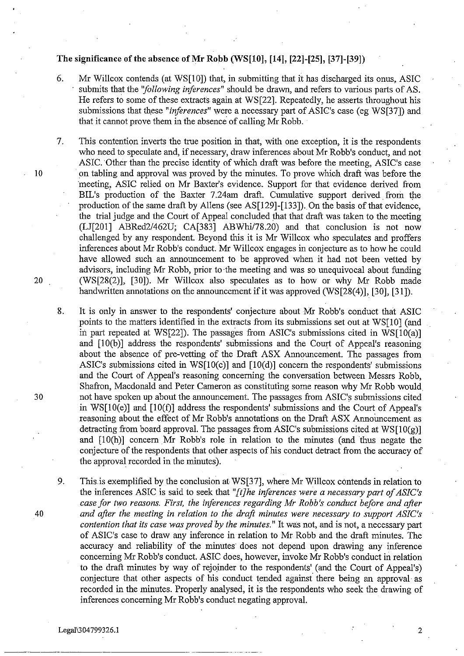## The significance of the absence of Mr Robb (WS $[10]$ ,  $[14]$ ,  $[22]$ - $[25]$ ,  $[37]$ - $[39]$ )

- 6. Mr Willcox contends (at WS[IOJ) that, in submitting that it has discharged its onus, ASIC submits that the *''following inferences*'' should be drawn, and refers to various parts of AS. He refers to some of these extracts again at WS[22]. Repeatedly, he asserts throughout his submissions that these "*inferences*" were a necessary part of ASIC's case (eg WS[37]) and that it cannot prove them in the absence of calling Mr Robb.
- 7. This contention inverts the true position in that, with one exception, it is the respondents who need to speculate and, if necessary, draw inferences about Mr Robb's conduct, and not ASIC. Other than the precise identity of which draft was before the meeting, ASIC's case 10 . Do tabling and approval was proved by the minutes. To prove which draft was before the meeting, ASIC relied on Mr Baxter's evidence. Support for that evidence derived from BIL's production of the Baxter 7.24am draft. Cumulative support derived from the production of the same draft by Allens (see AS[129]-[133]). On the basis of that evidence, the trial judge and the Court of Appeal concluded that that draft was taken to the meeting  $(LJ[201]$  ABRed2/462U; CA $[383]$  ABWhi/78.20) and that conclusion is not now challenged by any respondent. Beyond this it is Mr Willcox who speculates and proffers inferences about Mr Robb's conduct. Mr Willcox engages in conjecture as to how he could have allowed such an announcement to be approved when it had not been vetted by advisors, including Mr Robb, prior to the meeting and was so unequivocal about funding 20 (WS[28(2)], [30]). Mr Willcox also. speculates as to how or why Mr Robb made handwritten annotations on the announcement if it was approved (WS[28(4)], [30], [31]).
- 8. It is only in answer to the respondents' conjecture about Mr Robb's conduct that ASIC points to the matters identified in the extracts from its submissions set out at WS[10] (and in part repeated at WS[22J). The passages from ASIC's submissions cited in WS[IO(a)] and  $[10(b)]$  address the respondents' submissions and the Court of Appeal's reasoning about the absence of pre-vetting of the Draft ASX Announcement. The passages from ASIC's submissions cited in WS $[10(c)]$  and  $[10(d)]$  concern the respondents' submissions and the Court of Appeal's reasoning concerning the conversation between Messrs Robb, Shafron, Macdonald and Peter Cameron as constituting some reason why Mr Robb would 30 not have spoken up about the announcement. The passages from ASIC's submissions cited in WS $[10(e)]$  and  $[10(f)]$  address the respondents' submissions and the Court of Appeal's reasoning about the effect of Mr Robb's annotations on the Draft ASX Announcement as detracting from board approval. The passages from ASIC's submissions cited at  $WSI[0(\alpha)]$ and  $[10(h)]$  concern Mr Robb's role in relation to the minutes (and thus negate the conjecture of the respondents that other aspects of his conduct detract from the accuracy of the approval recorded in the minutes).
- 9. This is exemplified by the conclusion at WS[37], where Mr Willcox contends in relation to the inferences ASIC is said to seek that *"[t]he iriferences were a necessary part of ASIC's case for two reasons. First, the inferences regarding Mr Robb's conduct before and after 40 and after the meeting in relation to the draft minutes were necessary to support ASIC's contention that its case was proved by the minutes."* It was not, and is not, a necessary part of ASIC's case to draw any inference in relation to Mr Robb and the draft minutes. The accuracy and reliability of the minutes does not depend upon drawing any inference concerning Mr Robb's conduct. ASIC does, however, invoke Mr Robb's conduct in relation to the draft minutes by way of rejoinder to the respondents' (and the Court of Appeal's) conjecture that other aspects of his conduct tended against there being an approval as recorded in the minutes. Properly analysed, it is the respondents who seek the drawing of inferences concerning Mr Robb's conduct negating approval.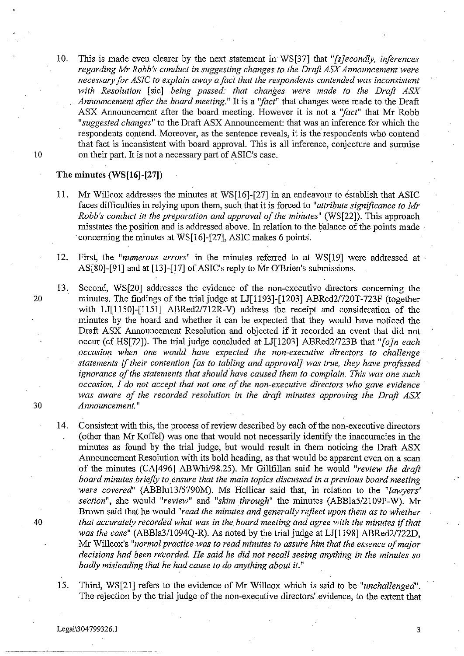10. This is made even clearer by the next statement in' WS[37] that *"[sJecondly, inferences regarding Mr Robb's conduct in suggesting changes to the Draft ASX Announcement were necessary for ASIC to explain away a fact that the respondents contended was inconsistent with Resolution* [sic] *being passed: that changes we're made to the Draft ASX Announcement after the board meeting."* It is a *''fact''* that changes were made to the Draft ASX Announcement after the board meeting. However it is not a *''fact''* that Mr Robb *"suggested changes"* to the Draft ASX Announcement: that was an inference for which the respondents contend. Moreover, as the sentence reveals, it is the' respondents who contend that fact is inconsistent with board approval. This is all inference, conjecture and surmise<br>
on their part. It is not a necessary part of ASIC's case.

#### **The minutes (WS[16]-[27))**

- 11. Mr Willcox addresses the minutes at WS[16]-[27] in an endeavour to establish that ASIC faces difficulties in relying upon them, such that it is forced to *"attribute significance to Mr Robb's conduct in the preparation and approval of the minutes*" *(WS[22]*). This approach misstates the position and is addressed above. In relation to the balance of the points made· concerning the minutes at WS[16]-[27], ASIC makes 6 points.
- 12. First, the *"numerous errors"* in the minutes referred to at WS[19] were addressed at AS[80]-[91] and at [13]-[17] of ASIC's reply to Mr O'Brien's submissions.
- 13. Second, WS[20] addresses the evidence of the non-executive directors concerning the 20 minutes. The findings of the trial judge at LJ[1l93]-[1203] ABRed2/720T-723F (together with LJ[1150]-[1151] ABRed2/712R-V) address the receipt and consideration of the . minutes by the board and whether it can be expected that they would have noticed the Draft ASX Announcement Resolution and objected if it recorded an event that did not occur (cf HS[72]). The trial judge concluded at LJ[1203] ABRed2/723B that *"[oJn each occasion when one would have expected the non-executive directors to challenge statements if their contention [as to tabling and approval] was true, they have profossed ignorance of the statements that should have caused them to complain. This was one such occasion. I do not accept that not one of the non-executive directors who gave evidence . was aware of the recorded resolution in the draft minutes approving the Draft ASX*  30 *Announcement."*
- 14. Consistent with this, the process of review described by each of the non-executive directors (other than Mr Koffel) was one that would not necessarily identify the inaccuracies in the minutes as found by the trial judge, but would result in them noticing the Draft ASX Announcement Resolution with its bold heading, as that would be apparent even on a scan of the minutes (CA[496] ABWhi/98.25). Mr Gillfillan said he would *"review the draft*  board minutes briefly to ensure that the main topics discussed in a previous board meeting *were covered"* (ABBlu13/5790M). Ms Hellicar said that, in relation to the *"lawyers' section",* she would *"review"* and *"skim through"* the minutes (ABBla5/2109P-W). Mr Brown said that he would *"read the minutes and generally rejlect upon them as to whether 40 that accurately recorded what was in the. board meeting and agree with the minutes if that was the case"* (ABBla3/1094Q-R). As noted by the trial judge at LJ[1198] ABRed2/722D, Mr Willcox's *"normal practice was to read minutes to assure him that the essence of major decisions had been recorded He said he did not recall seeing anything in the minutes so badly misleading that he had cause to do anything about it."* 
	- 15. Third, WS[21] refers to the evidence of Mr Willcox which is said to be *"unchallenged".*  The rejection by the trial judge of the non-executive directors'evidence, to the extent that

Legal\304799326.1 3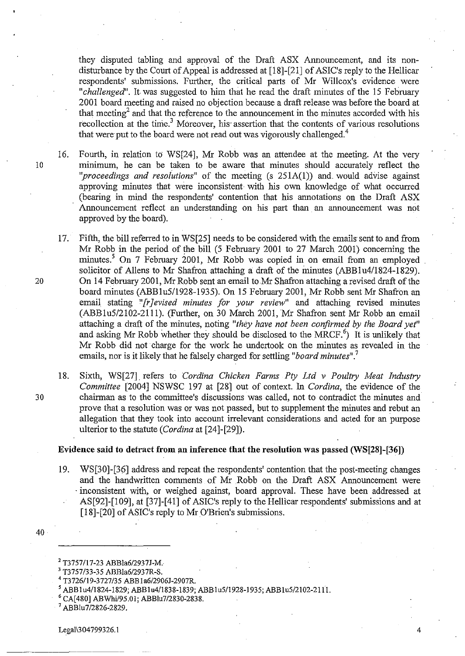they disputed tabling and approyal of the Draft ASX Announcement, and its nondisturbance by the Court of Appeal is addressed at [18]-[21] of ASIC's reply to the Hellicar respondents' submissions. Further, the critical parts of Mr Willcox's evidence were *"challenged".* It was suggested to him that he read the draft minutes of the 15 February 2001 board meeting and raised no objection because a draft release was before the board at that meeting<sup>2</sup> and that the reference to the announcement in the minutes accorded with his recollection at the time.<sup>3</sup> Moreover, his assertion that the contents of various resolutions that were put to the board were not read out was vigorously challenged.<sup>4</sup>

- 16. Fourth, in relation to WS[24], Mr Robb was an attendee at the meeting. At the very 10 minimum, he can be taken to be aware that minutes should accurately reflect the *"proceedings and resolutions"* of the meeting (s 25IA(I)) and. would advise against approving minutes that were inconsistent with his own knowledge of what occurred (bearing in mind the respondents' contention that his annotations on the Draft ASX Announcement reflect an understanding on his part than an announcement was not approved by the board).
- 17. Fifth, the bill referred to in WS[25] needs to be considered with the emails sent to and from Mr Robb in the period of the bill (5 February 2001 to 27 March 2001) concerning the minutes.<sup>5</sup> On 7 February 2001, Mr Robb was copied in on email from an employed solicitor of Allens to Mr Shafron attaching a draft of the minutes (ABBlu4/1824-1829). 20 On 14 February 2001, Mr Robb sent an email to Mr Shafron attaching a revised draft of the board minutes (ABBlu5/1928-1935). On 15 February 2001, Mr Robb sent Mr Shafron an email stating *"[r] evised minutes for your review*" and attaching revised minutes (ABB1u5/2102-2111). (Further, on 30 March 2001, Mr Shafron sent Mr Robb an email attaching a draft of the minutes, noting *"they have not been confirmed by the Board yet"*  and asking Mr Robb whether they should be disclosed to the MRCF.<sup>6</sup>) It is unlikely that Mr Robb did not charge for the work he undertook on the minutes as revealed in the emails, nor is it likely that he falsely charged for settling *"board minutes"?*
- 18. Sixth, WS[27] refers to *Cordina Chicken Farms Pty Ltd v Poultry Meat Industry Committee* [2004] NSWSC 197 at [28] out of context. In *Cordina,* the evidence of the 30 chairman as to the committee's discussions was called, not to contradict the minutes and prove that a resolution was or was not passed, but to supplement the minutes and rebut an allegation that they took into account irrelevant considerations and acted for an purpose ulterior to the statute *(Cordina* at [24]-[29]).

### **Evidence said to detract from an inference that the resolution** was passed **(WS[28]-[36))**

- 19. WS[30]-[36] address and repeat the respondents' contention that the post-meeting changes and the handwritten comments of Mr Robb on the Draft ASX Announcement were . inconsistent with, or weighed against, board approval. These have been addressed at AS[92]-[109], at [37]-[41] of ASIC's reply to the Hellicar respondents' submissions and at [18]-[20] of ASIC's reply to Mr O'Brien's submissions.
- 40

- 4 T3726119-3727/35 ABBla6/2906J-2907R.
- ABB1u4/1824-1829; ABB1u4/1838-1839; ABB1u5/1928-1935; ABB1u5/2102-2111.
- 6 CA[480] ABWhi/95.01; ABBlu7/2830-2838.
- $<sup>7</sup>$ ABBlu7/2826-2829.</sup>

<sup>2</sup> T3757117-23 ABBla6/2937J-M.

<sup>3</sup> T3757/33-35 ABBla6/2937R-S.